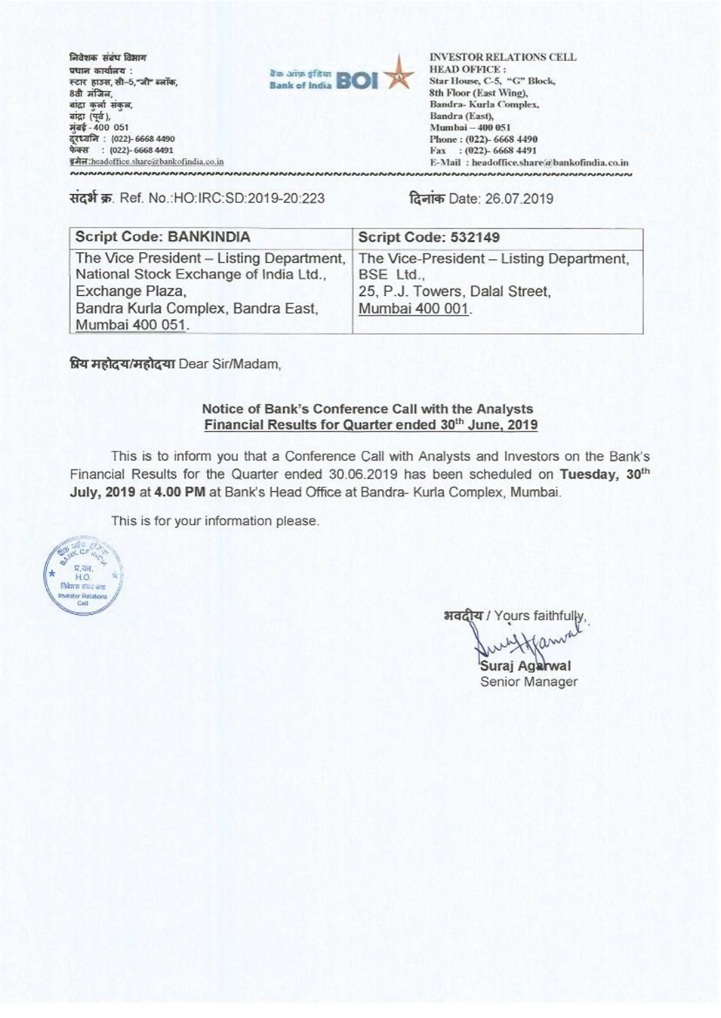निवेशक संबंध विभाग **V01W et41.14 .**  स्टार हाउस,सी–5,"जी" ब्लॉक,<br>8वी मंजिल, बांद्रा कुर्ला संकुल, बांद्रा (पूर्व), kiart- **400 051 egn.414 . (022)- 6668 4490 t61141 : (022)-66684491**  1017:hcadollicc.shareabankolindia.coin



INVESTOR RELATIONS **CELL HEAD OFFICE Star I louse, C 5, -C" Block, 8th Floor (East Wing), Randra- Kurla Complex, Bandra (East), Mumbai - 400 051 Phone : (022)- 6668 4490**  Fax : (022)- 6668 4491 **E: Nail : headoffice.share,"4bankolimlia.co.in**

1t31- W. Ref. No.:HO:IRC:SD:2019-20:223 ISDate: 26.07.2019

| <b>Script Code: BANKINDIA</b>                                                                                                                                  | Script Code: 532149                                                                                        |  |
|----------------------------------------------------------------------------------------------------------------------------------------------------------------|------------------------------------------------------------------------------------------------------------|--|
| The Vice President - Listing Department,<br>National Stock Exchange of India Ltd.,<br>Exchange Plaza,<br>Bandra Kurla Complex, Bandra East,<br>Mumbai 400 051. | The Vice-President - Listing Department.<br>BSE Ltd.,<br>25, P.J. Towers, Dalal Street,<br>Mumbai 400 001. |  |

**rqs-i6 4.4 4q** Dear Sir/Madam,

## **Notice of Bank's Conference Call with the Analysts Financial Results for Quarter ended 30th June, 2019**

This is to inform you that a Conference Call with Analysts and Investors on the Bank's Financial Results for the Quarter ended 30.06.2019 has been scheduled on Tuesday, 30<sup>th</sup> July, 2019 at 4.00 PM at Bank's Head Office at Bandra- Kurla Complex, Mumbai.

This is for your information please.



**31**/ Yours faithfully,

 $\alpha$ Suraj Agarwal

Senior Manager